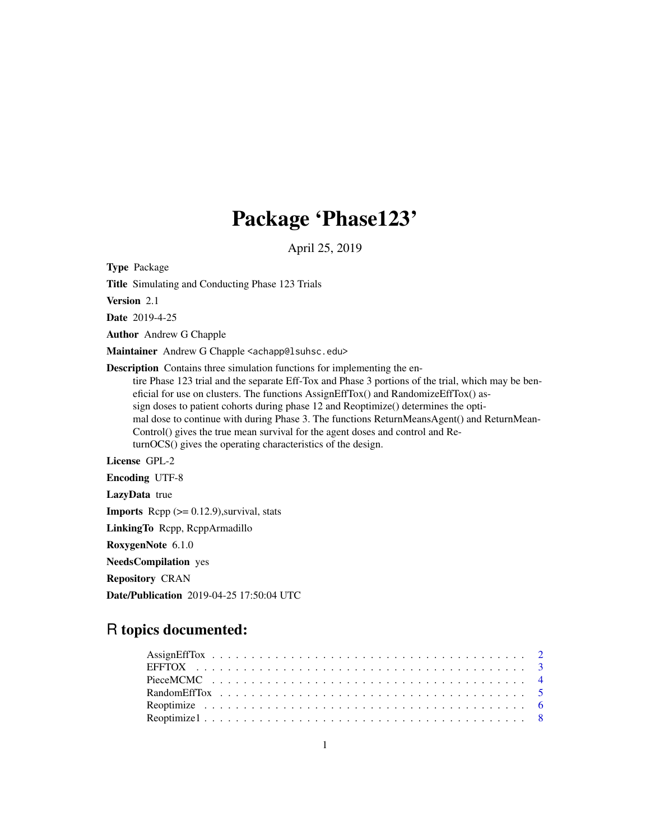## Package 'Phase123'

April 25, 2019

Type Package

Title Simulating and Conducting Phase 123 Trials

Version 2.1

Date 2019-4-25

Author Andrew G Chapple

Maintainer Andrew G Chapple <achapp@lsuhsc.edu>

Description Contains three simulation functions for implementing the entire Phase 123 trial and the separate Eff-Tox and Phase 3 portions of the trial, which may be beneficial for use on clusters. The functions AssignEffTox() and RandomizeEffTox() assign doses to patient cohorts during phase 12 and Reoptimize() determines the optimal dose to continue with during Phase 3. The functions ReturnMeansAgent() and ReturnMean-Control() gives the true mean survival for the agent doses and control and ReturnOCS() gives the operating characteristics of the design.

License GPL-2

Encoding UTF-8

LazyData true

**Imports** Rcpp  $(>= 0.12.9)$ , survival, stats

LinkingTo Rcpp, RcppArmadillo

RoxygenNote 6.1.0

NeedsCompilation yes

Repository CRAN

Date/Publication 2019-04-25 17:50:04 UTC

### R topics documented: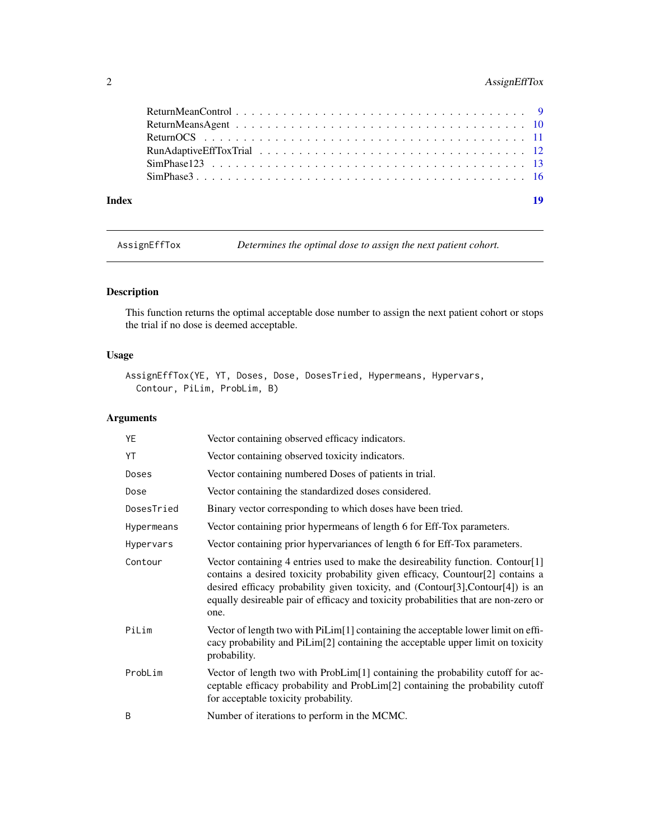#### <span id="page-1-0"></span>2 AssignEffTox

|       | SimPhase 3 |    |
|-------|------------|----|
| Index |            | 19 |

AssignEffTox *Determines the optimal dose to assign the next patient cohort.*

#### Description

This function returns the optimal acceptable dose number to assign the next patient cohort or stops the trial if no dose is deemed acceptable.

#### Usage

```
AssignEffTox(YE, YT, Doses, Dose, DosesTried, Hypermeans, Hypervars,
  Contour, PiLim, ProbLim, B)
```

| YE         | Vector containing observed efficacy indicators.                                                                                                                                                                                                                                                                                                     |
|------------|-----------------------------------------------------------------------------------------------------------------------------------------------------------------------------------------------------------------------------------------------------------------------------------------------------------------------------------------------------|
| YT         | Vector containing observed toxicity indicators.                                                                                                                                                                                                                                                                                                     |
| Doses      | Vector containing numbered Doses of patients in trial.                                                                                                                                                                                                                                                                                              |
| Dose       | Vector containing the standardized doses considered.                                                                                                                                                                                                                                                                                                |
| DosesTried | Binary vector corresponding to which doses have been tried.                                                                                                                                                                                                                                                                                         |
| Hypermeans | Vector containing prior hypermeans of length 6 for Eff-Tox parameters.                                                                                                                                                                                                                                                                              |
| Hypervars  | Vector containing prior hypervariances of length 6 for Eff-Tox parameters.                                                                                                                                                                                                                                                                          |
| Contour    | Vector containing 4 entries used to make the desireability function. Contour[1]<br>contains a desired toxicity probability given efficacy, Countour[2] contains a<br>desired efficacy probability given toxicity, and (Contour[3], Contour[4]) is an<br>equally desireable pair of efficacy and toxicity probabilities that are non-zero or<br>one. |
| PiLim      | Vector of length two with PiLim <sup>[1]</sup> containing the acceptable lower limit on effi-<br>cacy probability and PiLim[2] containing the acceptable upper limit on toxicity<br>probability.                                                                                                                                                    |
| ProbLim    | Vector of length two with ProbLim[1] containing the probability cutoff for ac-<br>ceptable efficacy probability and ProbLim[2] containing the probability cutoff<br>for acceptable toxicity probability.                                                                                                                                            |
| B          | Number of iterations to perform in the MCMC.                                                                                                                                                                                                                                                                                                        |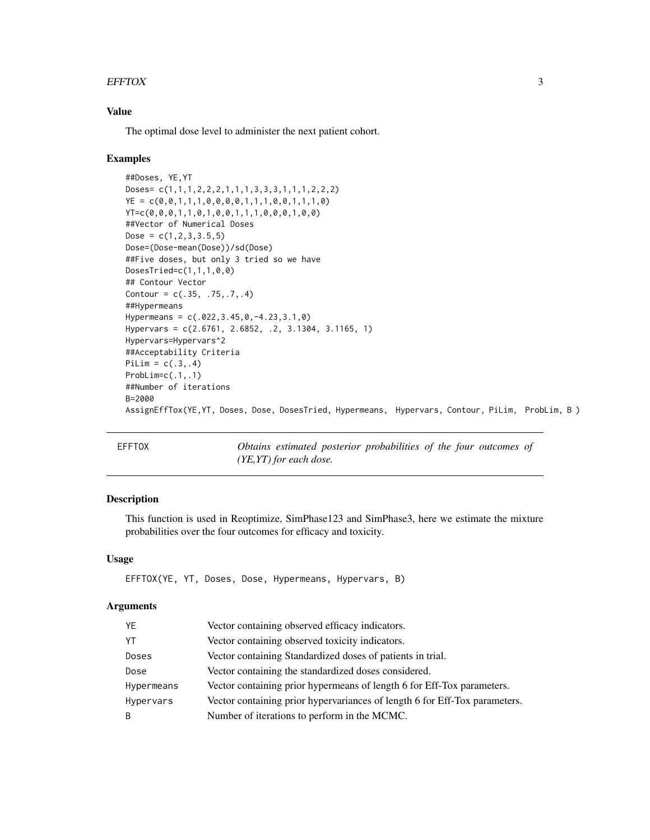#### <span id="page-2-0"></span> $E$ FFTOX 3

#### Value

The optimal dose level to administer the next patient cohort.

#### Examples

```
##Doses, YE,YT
Doses= c(1,1,1,2,2,2,1,1,1,3,3,3,1,1,1,2,2,2)
YE = c(0, 0, 1, 1, 1, 0, 0, 0, 0, 1, 1, 1, 0, 0, 1, 1, 1, 0)YT=c(0,0,0,1,1,0,1,0,0,1,1,1,0,0,0,1,0,0)
##Vector of Numerical Doses
Dose = c(1, 2, 3, 3.5, 5)Dose=(Dose-mean(Dose))/sd(Dose)
##Five doses, but only 3 tried so we have
DosesTried=c(1,1,1,0,0)
## Contour Vector
Contour = c(.35, .75, .7, .4)##Hypermeans
Hypermeans = c(.022,3.45,0,-4.23,3.1,0)
Hypervars = c(2.6761, 2.6852, .2, 3.1304, 3.1165, 1)
Hypervars=Hypervars^2
##Acceptability Criteria
PiLim = c(.3,.4)ProbLim=c(.1,.1)
##Number of iterations
B=2000
AssignEffTox(YE,YT, Doses, Dose, DosesTried, Hypermeans, Hypervars, Contour, PiLim, ProbLim, B )
```
EFFTOX *Obtains estimated posterior probabilities of the four outcomes of (YE,YT) for each dose.*

#### Description

This function is used in Reoptimize, SimPhase123 and SimPhase3, here we estimate the mixture probabilities over the four outcomes for efficacy and toxicity.

#### Usage

EFFTOX(YE, YT, Doses, Dose, Hypermeans, Hypervars, B)

| YE         | Vector containing observed efficacy indicators.                            |
|------------|----------------------------------------------------------------------------|
| YT         | Vector containing observed toxicity indicators.                            |
| Doses      | Vector containing Standardized doses of patients in trial.                 |
| Dose       | Vector containing the standardized doses considered.                       |
| Hypermeans | Vector containing prior hypermeans of length 6 for Eff-Tox parameters.     |
| Hypervars  | Vector containing prior hypervariances of length 6 for Eff-Tox parameters. |
| B          | Number of iterations to perform in the MCMC.                               |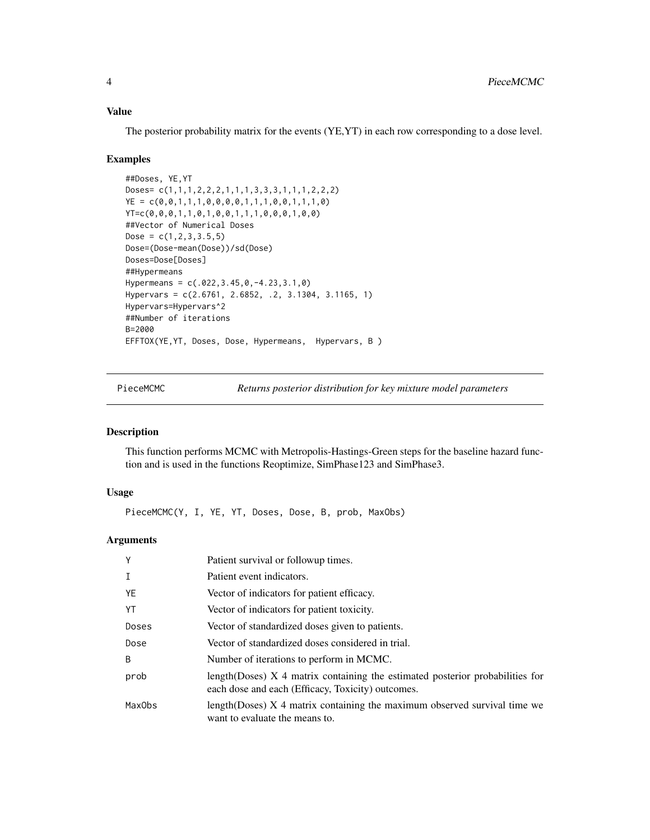#### <span id="page-3-0"></span>Value

The posterior probability matrix for the events (YE,YT) in each row corresponding to a dose level.

#### Examples

```
##Doses, YE,YT
Doses= c(1,1,1,2,2,2,1,1,1,3,3,3,1,1,1,2,2,2)
YE = c(0, 0, 1, 1, 1, 0, 0, 0, 0, 1, 1, 1, 0, 0, 1, 1, 1, 0)YT=c(0,0,0,1,1,0,1,0,0,1,1,1,0,0,0,1,0,0)
##Vector of Numerical Doses
Dose = c(1, 2, 3, 3.5, 5)Dose=(Dose-mean(Dose))/sd(Dose)
Doses=Dose[Doses]
##Hypermeans
Hypermeans = c(.022,3.45,0,-4.23,3.1,0)
Hypervars = c(2.6761, 2.6852, .2, 3.1304, 3.1165, 1)
Hypervars=Hypervars^2
##Number of iterations
B=2000
EFFTOX(YE,YT, Doses, Dose, Hypermeans, Hypervars, B )
```
PieceMCMC *Returns posterior distribution for key mixture model parameters*

#### Description

This function performs MCMC with Metropolis-Hastings-Green steps for the baseline hazard function and is used in the functions Reoptimize, SimPhase123 and SimPhase3.

#### Usage

PieceMCMC(Y, I, YE, YT, Doses, Dose, B, prob, MaxObs)

| Y                  | Patient survival or followup times.                                                                                                |
|--------------------|------------------------------------------------------------------------------------------------------------------------------------|
| $\mathsf{T}$       | Patient event indicators.                                                                                                          |
| YE                 | Vector of indicators for patient efficacy.                                                                                         |
| YT                 | Vector of indicators for patient toxicity.                                                                                         |
| Doses              | Vector of standardized doses given to patients.                                                                                    |
| Dose               | Vector of standardized doses considered in trial.                                                                                  |
| B                  | Number of iterations to perform in MCMC.                                                                                           |
| prob               | length(Doses) X 4 matrix containing the estimated posterior probabilities for<br>each dose and each (Efficacy, Toxicity) outcomes. |
| Max <sub>Obs</sub> | length (Doses) $X$ 4 matrix containing the maximum observed survival time we<br>want to evaluate the means to.                     |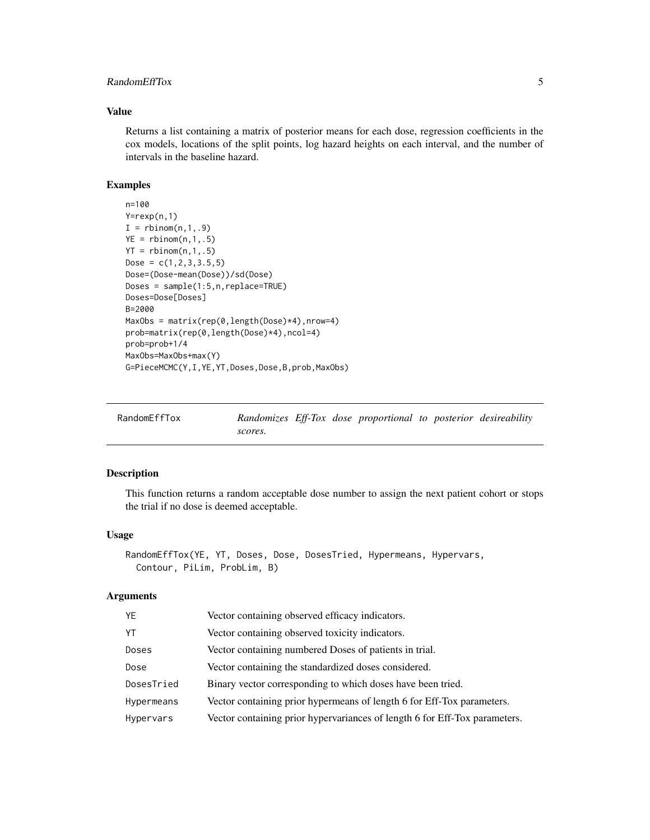#### <span id="page-4-0"></span>RandomEffTox 5

#### Value

Returns a list containing a matrix of posterior means for each dose, regression coefficients in the cox models, locations of the split points, log hazard heights on each interval, and the number of intervals in the baseline hazard.

#### Examples

```
n=100
Y=rexp(n,1)
I = rbinom(n,1,.9)YE = rbinom(n, 1, .5)YT = \text{rbinom}(n, 1, .5)Dose = c(1, 2, 3, 3.5, 5)Dose=(Dose-mean(Dose))/sd(Dose)
Doses = sample(1:5,n,replace=TRUE)
Doses=Dose[Doses]
B=2000
MaxObs = matrix(rep(0,length(Dose)*4),nrow=4)
prob=matrix(rep(0,length(Dose)*4),ncol=4)
prob=prob+1/4
MaxObs=MaxObs+max(Y)
G=PieceMCMC(Y,I,YE,YT,Doses,Dose,B,prob,MaxObs)
```

| RandomEffTox |         |  | Randomizes Eff-Tox dose proportional to posterior desireability |  |  |
|--------------|---------|--|-----------------------------------------------------------------|--|--|
|              | scores. |  |                                                                 |  |  |

#### Description

This function returns a random acceptable dose number to assign the next patient cohort or stops the trial if no dose is deemed acceptable.

#### Usage

```
RandomEffTox(YE, YT, Doses, Dose, DosesTried, Hypermeans, Hypervars,
 Contour, PiLim, ProbLim, B)
```

| YE         | Vector containing observed efficacy indicators.                            |
|------------|----------------------------------------------------------------------------|
| YT         | Vector containing observed toxicity indicators.                            |
| Doses      | Vector containing numbered Doses of patients in trial.                     |
| Dose       | Vector containing the standardized doses considered.                       |
| DosesTried | Binary vector corresponding to which doses have been tried.                |
| Hypermeans | Vector containing prior hypermeans of length 6 for Eff-Tox parameters.     |
| Hypervars  | Vector containing prior hypervariances of length 6 for Eff-Tox parameters. |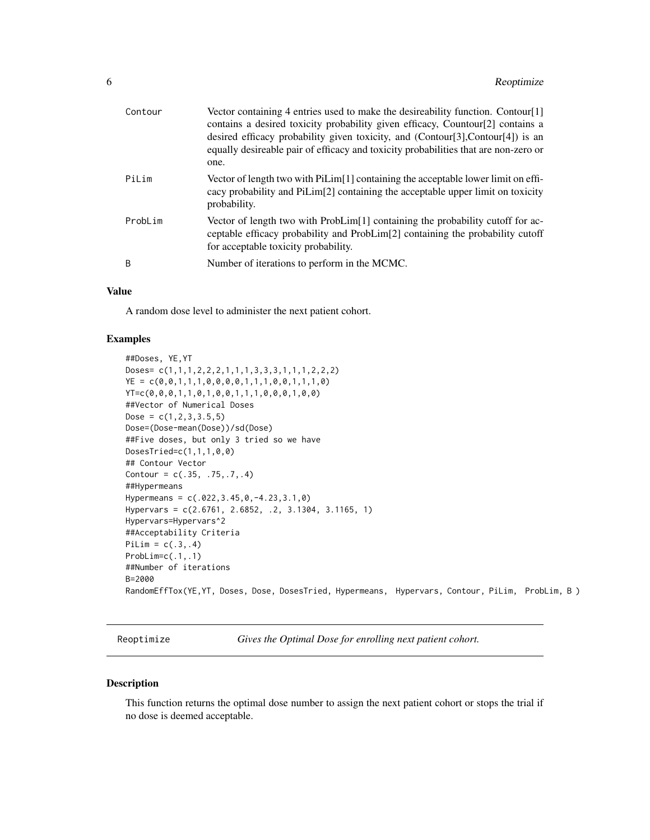<span id="page-5-0"></span>

| Contour | Vector containing 4 entries used to make the desireability function. Contour[1]<br>contains a desired toxicity probability given efficacy, Countour[2] contains a<br>desired efficacy probability given toxicity, and (Contour[3],Contour[4]) is an<br>equally desireable pair of efficacy and toxicity probabilities that are non-zero or<br>one. |
|---------|----------------------------------------------------------------------------------------------------------------------------------------------------------------------------------------------------------------------------------------------------------------------------------------------------------------------------------------------------|
| PiLim   | Vector of length two with PiLim[1] containing the acceptable lower limit on effi-<br>cacy probability and PiLim <sup>[2]</sup> containing the acceptable upper limit on toxicity<br>probability.                                                                                                                                                   |
| ProbLim | Vector of length two with ProbLim[1] containing the probability cutoff for ac-<br>ceptable efficacy probability and ProbLim[2] containing the probability cutoff<br>for acceptable toxicity probability.                                                                                                                                           |
| B       | Number of iterations to perform in the MCMC.                                                                                                                                                                                                                                                                                                       |

#### Value

A random dose level to administer the next patient cohort.

#### Examples

```
##Doses, YE,YT
Doses= c(1,1,1,2,2,2,1,1,1,3,3,3,1,1,1,2,2,2)
YE = c(0, 0, 1, 1, 1, 0, 0, 0, 0, 1, 1, 1, 0, 0, 1, 1, 1, 0)YT=c(0,0,0,1,1,0,1,0,0,1,1,1,0,0,0,1,0,0)
##Vector of Numerical Doses
Dose = c(1, 2, 3, 3.5, 5)Dose=(Dose-mean(Dose))/sd(Dose)
##Five doses, but only 3 tried so we have
DosesTried=c(1,1,1,0,0)
## Contour Vector
Contour = c(.35, .75, .7, .4)##Hypermeans
Hypermeans = c(.022,3.45,0,-4.23,3.1,0)
Hypervars = c(2.6761, 2.6852, .2, 3.1304, 3.1165, 1)
Hypervars=Hypervars^2
##Acceptability Criteria
PiLim = c(.3,.4)ProbLim=c(.1,.1)
##Number of iterations
B=2000
RandomEffTox(YE,YT, Doses, Dose, DosesTried, Hypermeans, Hypervars, Contour, PiLim, ProbLim, B )
```
Reoptimize *Gives the Optimal Dose for enrolling next patient cohort.*

#### Description

This function returns the optimal dose number to assign the next patient cohort or stops the trial if no dose is deemed acceptable.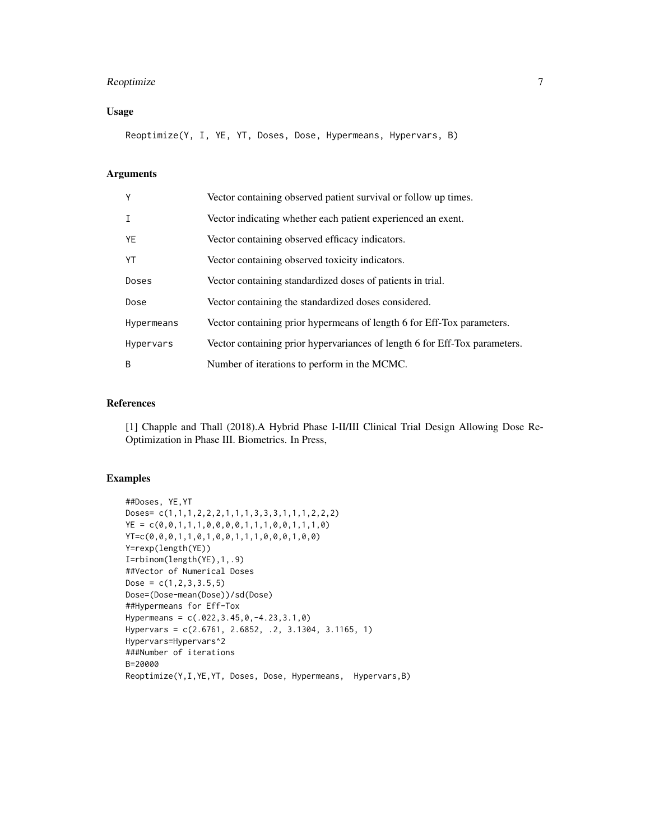#### Reoptimize 7

#### Usage

Reoptimize(Y, I, YE, YT, Doses, Dose, Hypermeans, Hypervars, B)

#### Arguments

| Y            | Vector containing observed patient survival or follow up times.            |
|--------------|----------------------------------------------------------------------------|
| $\mathsf{T}$ | Vector indicating whether each patient experienced an exent.               |
| YE           | Vector containing observed efficacy indicators.                            |
| YT           | Vector containing observed toxicity indicators.                            |
| Doses        | Vector containing standardized doses of patients in trial.                 |
| Dose         | Vector containing the standardized doses considered.                       |
| Hypermeans   | Vector containing prior hypermeans of length 6 for Eff-Tox parameters.     |
| Hypervars    | Vector containing prior hypervariances of length 6 for Eff-Tox parameters. |
| B            | Number of iterations to perform in the MCMC.                               |

#### References

[1] Chapple and Thall (2018).A Hybrid Phase I-II/III Clinical Trial Design Allowing Dose Re-Optimization in Phase III. Biometrics. In Press,

```
##Doses, YE,YT
Doses= c(1,1,1,2,2,2,1,1,1,3,3,3,1,1,1,2,2,2)
YE = c(0,0,1,1,1,0,0,0,0,1,1,1,0,0,1,1,1,0)
YT=c(0,0,0,1,1,0,1,0,0,1,1,1,0,0,0,1,0,0)
Y=rexp(length(YE))
I=rbinom(length(YE),1,.9)
##Vector of Numerical Doses
Dose = c(1, 2, 3, 3.5, 5)Dose=(Dose-mean(Dose))/sd(Dose)
##Hypermeans for Eff-Tox
Hypermeans = c(.022,3.45,0,-4.23,3.1,0)
Hypervars = c(2.6761, 2.6852, .2, 3.1304, 3.1165, 1)
Hypervars=Hypervars^2
###Number of iterations
B=20000
Reoptimize(Y,I,YE,YT, Doses, Dose, Hypermeans, Hypervars,B)
```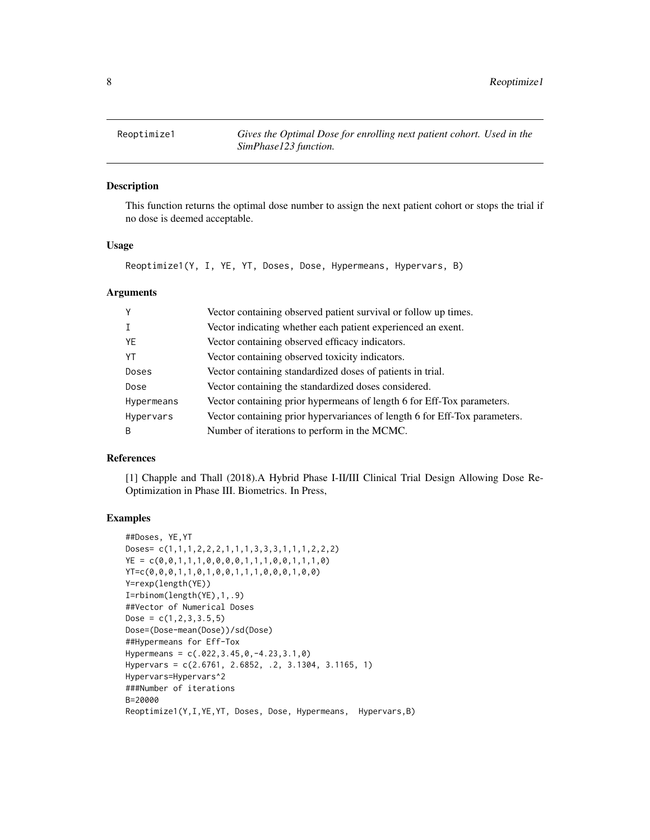<span id="page-7-0"></span>Reoptimize1 *Gives the Optimal Dose for enrolling next patient cohort. Used in the SimPhase123 function.*

#### Description

This function returns the optimal dose number to assign the next patient cohort or stops the trial if no dose is deemed acceptable.

#### Usage

Reoptimize1(Y, I, YE, YT, Doses, Dose, Hypermeans, Hypervars, B)

#### Arguments

| Y          | Vector containing observed patient survival or follow up times.            |
|------------|----------------------------------------------------------------------------|
|            | Vector indicating whether each patient experienced an exent.               |
| YF         | Vector containing observed efficacy indicators.                            |
| YT         | Vector containing observed toxicity indicators.                            |
| Doses      | Vector containing standardized doses of patients in trial.                 |
| Dose       | Vector containing the standardized doses considered.                       |
| Hypermeans | Vector containing prior hypermeans of length 6 for Eff-Tox parameters.     |
| Hypervars  | Vector containing prior hypervariances of length 6 for Eff-Tox parameters. |
| B          | Number of iterations to perform in the MCMC.                               |

#### References

[1] Chapple and Thall (2018).A Hybrid Phase I-II/III Clinical Trial Design Allowing Dose Re-Optimization in Phase III. Biometrics. In Press,

```
##Doses, YE,YT
Doses= c(1,1,1,2,2,2,1,1,1,3,3,3,1,1,1,2,2,2)
YE = c(0,0,1,1,1,0,0,0,0,1,1,1,0,0,1,1,1,0)
YT=c(0,0,0,1,1,0,1,0,0,1,1,1,0,0,0,1,0,0)
Y=rexp(length(YE))
I=rbinom(length(YE),1,.9)
##Vector of Numerical Doses
Dose = c(1, 2, 3, 3.5, 5)Dose=(Dose-mean(Dose))/sd(Dose)
##Hypermeans for Eff-Tox
Hypermeans = c(.022,3.45,0,-4.23,3.1,0)
Hypervars = c(2.6761, 2.6852, .2, 3.1304, 3.1165, 1)
Hypervars=Hypervars^2
###Number of iterations
B=20000
Reoptimize1(Y,I,YE,YT, Doses, Dose, Hypermeans, Hypervars,B)
```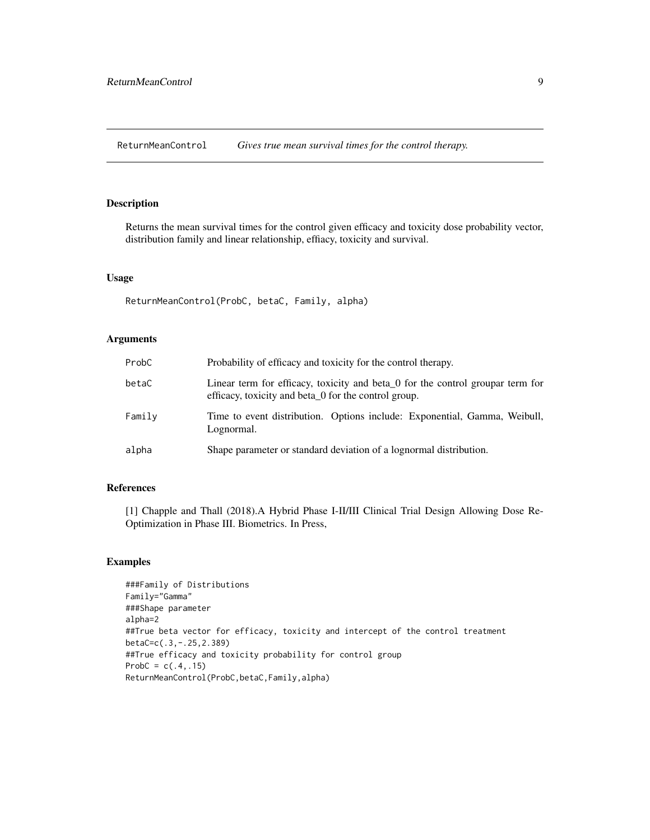<span id="page-8-0"></span>ReturnMeanControl *Gives true mean survival times for the control therapy.*

#### Description

Returns the mean survival times for the control given efficacy and toxicity dose probability vector, distribution family and linear relationship, effiacy, toxicity and survival.

#### Usage

ReturnMeanControl(ProbC, betaC, Family, alpha)

#### Arguments

| ProbC  | Probability of efficacy and toxicity for the control therapy.                                                                                 |
|--------|-----------------------------------------------------------------------------------------------------------------------------------------------|
| betaC  | Linear term for efficacy, toxicity and beta $\alpha$ for the control groupar term for<br>efficacy, toxicity and beta 0 for the control group. |
| Family | Time to event distribution. Options include: Exponential, Gamma, Weibull,<br>Lognormal.                                                       |
| alpha  | Shape parameter or standard deviation of a lognormal distribution.                                                                            |

#### References

[1] Chapple and Thall (2018).A Hybrid Phase I-II/III Clinical Trial Design Allowing Dose Re-Optimization in Phase III. Biometrics. In Press,

```
###Family of Distributions
Family="Gamma"
###Shape parameter
alpha=2
##True beta vector for efficacy, toxicity and intercept of the control treatment
betaC=c(.3,-.25,2.389)
##True efficacy and toxicity probability for control group
ProbC = c(.4,.15)ReturnMeanControl(ProbC,betaC,Family,alpha)
```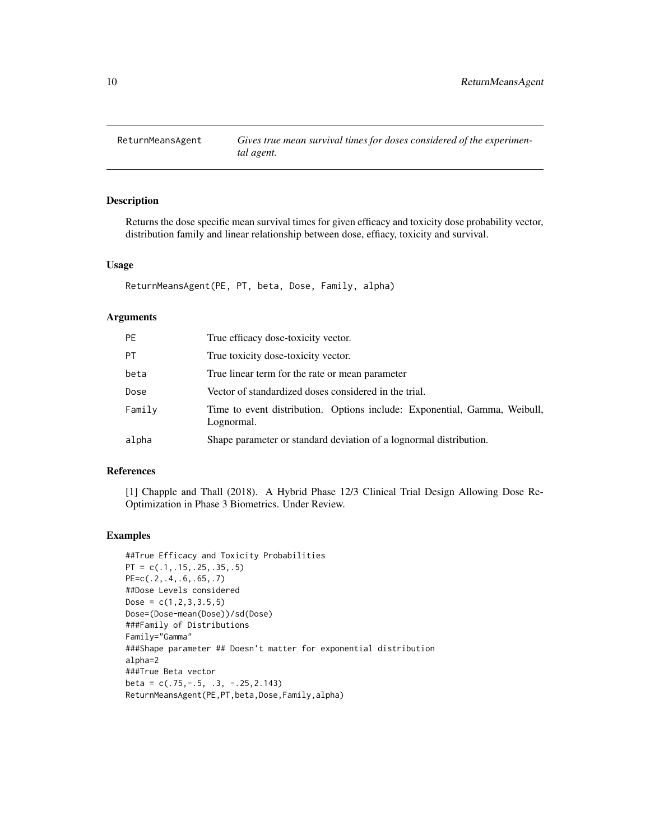<span id="page-9-0"></span>

#### Description

Returns the dose specific mean survival times for given efficacy and toxicity dose probability vector, distribution family and linear relationship between dose, effiacy, toxicity and survival.

#### Usage

ReturnMeansAgent(PE, PT, beta, Dose, Family, alpha)

#### Arguments

| <b>PE</b> | True efficacy dose-toxicity vector.                                                     |
|-----------|-----------------------------------------------------------------------------------------|
| <b>PT</b> | True toxicity dose-toxicity vector.                                                     |
| beta      | True linear term for the rate or mean parameter                                         |
| Dose      | Vector of standardized doses considered in the trial.                                   |
| Family    | Time to event distribution. Options include: Exponential, Gamma, Weibull,<br>Lognormal. |
| alpha     | Shape parameter or standard deviation of a lognormal distribution.                      |

#### References

[1] Chapple and Thall (2018). A Hybrid Phase 12/3 Clinical Trial Design Allowing Dose Re-Optimization in Phase 3 Biometrics. Under Review.

```
##True Efficacy and Toxicity Probabilities
PT = c(.1, .15, .25, .35, .5)PE=c(.2,.4,.6,.65,.7)
##Dose Levels considered
Dose = c(1, 2, 3, 3.5, 5)Dose=(Dose-mean(Dose))/sd(Dose)
###Family of Distributions
Family="Gamma"
###Shape parameter ## Doesn't matter for exponential distribution
alpha=2
###True Beta vector
beta = c(.75, -.5, .3, -.25, 2.143)ReturnMeansAgent(PE,PT,beta,Dose,Family,alpha)
```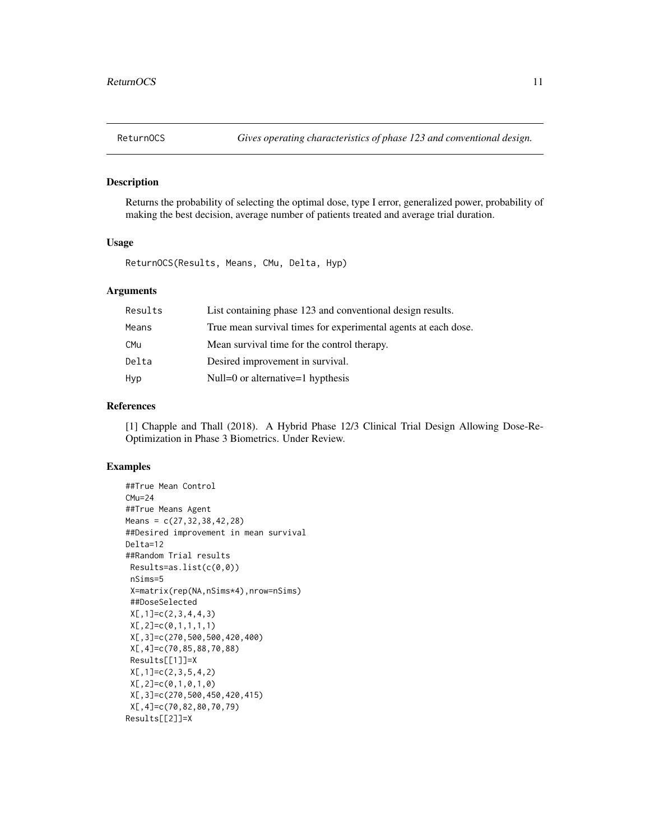<span id="page-10-0"></span>

#### Description

Returns the probability of selecting the optimal dose, type I error, generalized power, probability of making the best decision, average number of patients treated and average trial duration.

#### Usage

ReturnOCS(Results, Means, CMu, Delta, Hyp)

#### Arguments

| Results    | List containing phase 123 and conventional design results.     |
|------------|----------------------------------------------------------------|
| Means      | True mean survival times for experimental agents at each dose. |
| <b>CMu</b> | Mean survival time for the control therapy.                    |
| Delta      | Desired improvement in survival.                               |
| Hyp        | Null=0 or alternative=1 hypthesis                              |

#### References

[1] Chapple and Thall (2018). A Hybrid Phase 12/3 Clinical Trial Design Allowing Dose-Re-Optimization in Phase 3 Biometrics. Under Review.

```
##True Mean Control
CMu=24##True Means Agent
Means = c(27, 32, 38, 42, 28)##Desired improvement in mean survival
Delta=12
##Random Trial results
Results=as.list(c(0,0))
nSims=5
X=matrix(rep(NA,nSims*4),nrow=nSims)
##DoseSelected
X[,1]=c(2,3,4,4,3)
X[,2]=c(0,1,1,1,1)
X[,3]=c(270,500,500,420,400)
X[,4]=c(70,85,88,70,88)
Results[[1]]=X
X[, 1] = c(2,3,5,4,2)X[,2]=c(0,1,0,1,0)
X[,3]=c(270,500,450,420,415)
X[,4]=c(70,82,80,70,79)
Results[[2]]=X
```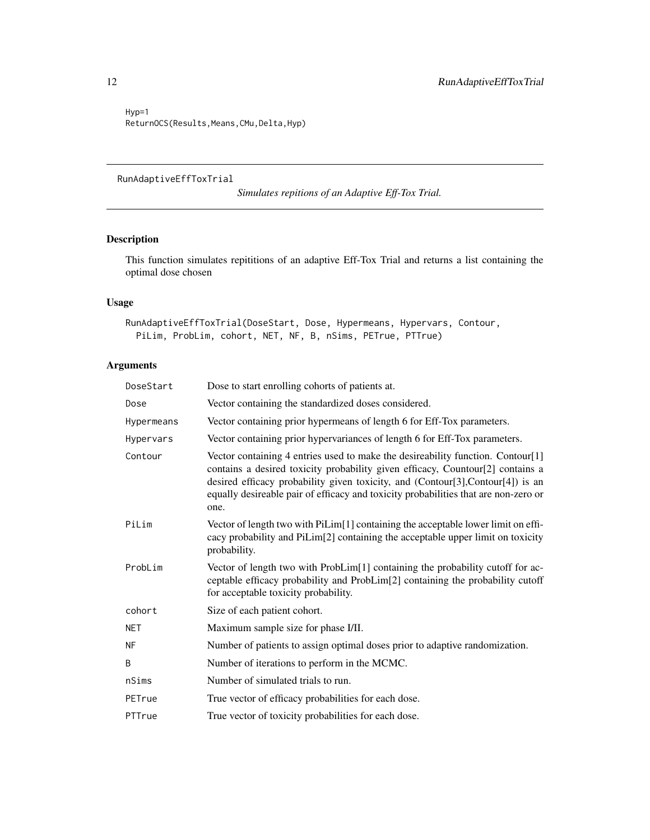Hyp=1 ReturnOCS(Results, Means, CMu, Delta, Hyp)

#### RunAdaptiveEffToxTrial

*Simulates repitions of an Adaptive Eff-Tox Trial.*

#### Description

This function simulates repititions of an adaptive Eff-Tox Trial and returns a list containing the optimal dose chosen

#### Usage

```
RunAdaptiveEffToxTrial(DoseStart, Dose, Hypermeans, Hypervars, Contour,
 PiLim, ProbLim, cohort, NET, NF, B, nSims, PETrue, PTTrue)
```

| DoseStart  | Dose to start enrolling cohorts of patients at.                                                                                                                                                                                                                                                                                                    |
|------------|----------------------------------------------------------------------------------------------------------------------------------------------------------------------------------------------------------------------------------------------------------------------------------------------------------------------------------------------------|
| Dose       | Vector containing the standardized doses considered.                                                                                                                                                                                                                                                                                               |
| Hypermeans | Vector containing prior hypermeans of length 6 for Eff-Tox parameters.                                                                                                                                                                                                                                                                             |
| Hypervars  | Vector containing prior hypervariances of length 6 for Eff-Tox parameters.                                                                                                                                                                                                                                                                         |
| Contour    | Vector containing 4 entries used to make the desireability function. Contour[1]<br>contains a desired toxicity probability given efficacy, Countour[2] contains a<br>desired efficacy probability given toxicity, and (Contour[3],Contour[4]) is an<br>equally desireable pair of efficacy and toxicity probabilities that are non-zero or<br>one. |
| PiLim      | Vector of length two with PiLim[1] containing the acceptable lower limit on effi-<br>cacy probability and PiLim[2] containing the acceptable upper limit on toxicity<br>probability.                                                                                                                                                               |
| ProbLim    | Vector of length two with ProbLim[1] containing the probability cutoff for ac-<br>ceptable efficacy probability and ProbLim[2] containing the probability cutoff<br>for acceptable toxicity probability.                                                                                                                                           |
| cohort     | Size of each patient cohort.                                                                                                                                                                                                                                                                                                                       |
| NET        | Maximum sample size for phase I/II.                                                                                                                                                                                                                                                                                                                |
| ΝF         | Number of patients to assign optimal doses prior to adaptive randomization.                                                                                                                                                                                                                                                                        |
| B          | Number of iterations to perform in the MCMC.                                                                                                                                                                                                                                                                                                       |
| nSims      | Number of simulated trials to run.                                                                                                                                                                                                                                                                                                                 |
| PETrue     | True vector of efficacy probabilities for each dose.                                                                                                                                                                                                                                                                                               |
| PTTrue     | True vector of toxicity probabilities for each dose.                                                                                                                                                                                                                                                                                               |

<span id="page-11-0"></span>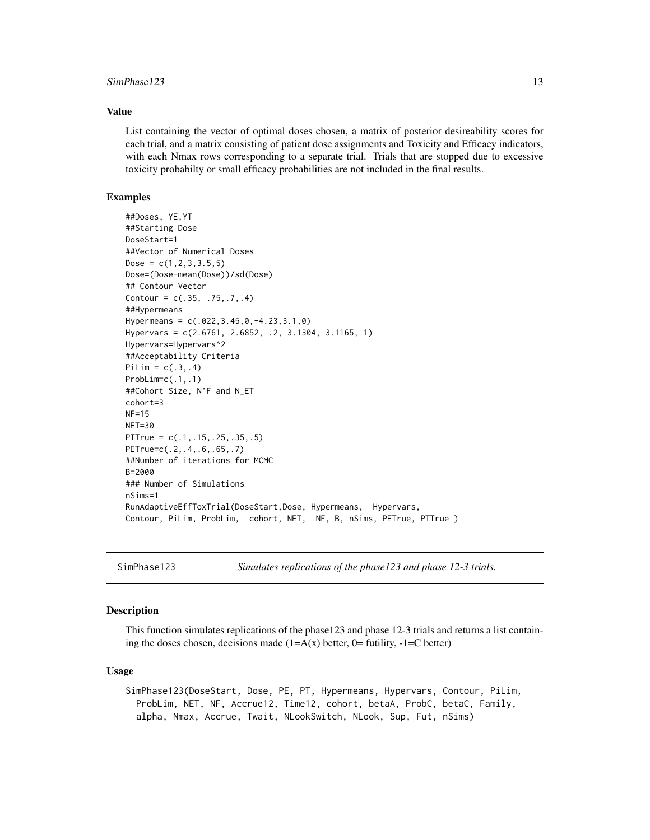#### <span id="page-12-0"></span> $SimPhase123$  13

#### Value

List containing the vector of optimal doses chosen, a matrix of posterior desireability scores for each trial, and a matrix consisting of patient dose assignments and Toxicity and Efficacy indicators, with each Nmax rows corresponding to a separate trial. Trials that are stopped due to excessive toxicity probabilty or small efficacy probabilities are not included in the final results.

#### Examples

```
##Doses, YE,YT
##Starting Dose
DoseStart=1
##Vector of Numerical Doses
Dose = c(1, 2, 3, 3.5, 5)Dose=(Dose-mean(Dose))/sd(Dose)
## Contour Vector
Contour = c(.35, .75, .7, .4)##Hypermeans
Hypermeans = c(.022,3.45,0,-4.23,3.1,0)
Hypervars = c(2.6761, 2.6852, .2, 3.1304, 3.1165, 1)
Hypervars=Hypervars^2
##Acceptability Criteria
Pillim = c(.3,.4)ProbLim=c(.1,.1)
##Cohort Size, N^F and N_ET
cohort=3
NF=15
NET=30
PTTrue = c(.1,.15,.25,.35,.5)
PETrue=c(.2,.4,.6,.65,.7)
##Number of iterations for MCMC
B=2000### Number of Simulations
nSims=1
RunAdaptiveEffToxTrial(DoseStart,Dose, Hypermeans, Hypervars,
Contour, PiLim, ProbLim, cohort, NET, NF, B, nSims, PETrue, PTTrue )
```
SimPhase123 *Simulates replications of the phase123 and phase 12-3 trials.*

#### Description

This function simulates replications of the phase123 and phase 12-3 trials and returns a list containing the doses chosen, decisions made  $(1=A(x))$  better, 0= futility, -1=C better)

#### Usage

SimPhase123(DoseStart, Dose, PE, PT, Hypermeans, Hypervars, Contour, PiLim, ProbLim, NET, NF, Accrue12, Time12, cohort, betaA, ProbC, betaC, Family, alpha, Nmax, Accrue, Twait, NLookSwitch, NLook, Sup, Fut, nSims)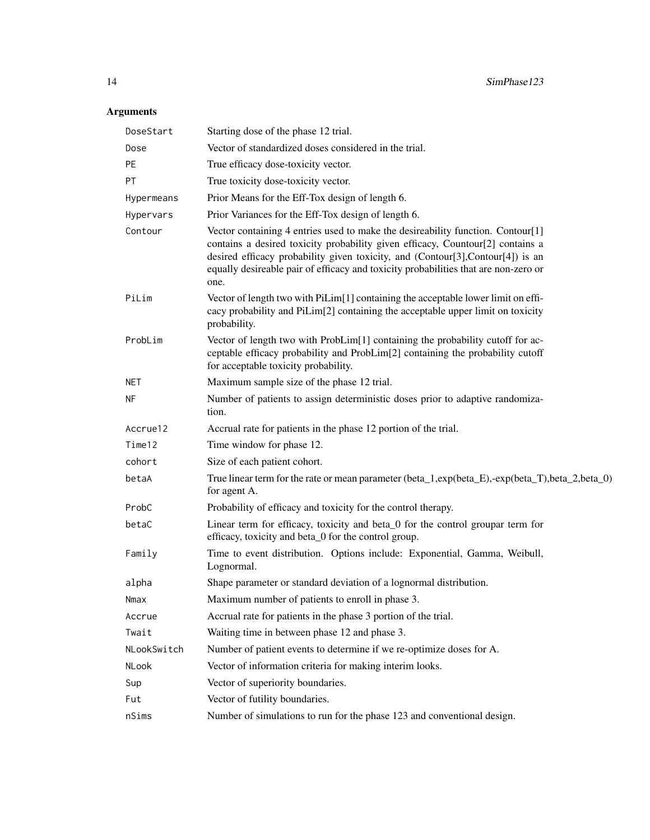| DoseStart   | Starting dose of the phase 12 trial.                                                                                                                                                                                                                                                                                                                |
|-------------|-----------------------------------------------------------------------------------------------------------------------------------------------------------------------------------------------------------------------------------------------------------------------------------------------------------------------------------------------------|
| Dose        | Vector of standardized doses considered in the trial.                                                                                                                                                                                                                                                                                               |
| PE          | True efficacy dose-toxicity vector.                                                                                                                                                                                                                                                                                                                 |
| PT          | True toxicity dose-toxicity vector.                                                                                                                                                                                                                                                                                                                 |
| Hypermeans  | Prior Means for the Eff-Tox design of length 6.                                                                                                                                                                                                                                                                                                     |
| Hypervars   | Prior Variances for the Eff-Tox design of length 6.                                                                                                                                                                                                                                                                                                 |
| Contour     | Vector containing 4 entries used to make the desireability function. Contour[1]<br>contains a desired toxicity probability given efficacy, Countour[2] contains a<br>desired efficacy probability given toxicity, and (Contour[3], Contour[4]) is an<br>equally desireable pair of efficacy and toxicity probabilities that are non-zero or<br>one. |
| PiLim       | Vector of length two with PiLim[1] containing the acceptable lower limit on effi-<br>cacy probability and PiLim[2] containing the acceptable upper limit on toxicity<br>probability.                                                                                                                                                                |
| ProbLim     | Vector of length two with ProbLim[1] containing the probability cutoff for ac-<br>ceptable efficacy probability and ProbLim[2] containing the probability cutoff<br>for acceptable toxicity probability.                                                                                                                                            |
| NET         | Maximum sample size of the phase 12 trial.                                                                                                                                                                                                                                                                                                          |
| ΝF          | Number of patients to assign deterministic doses prior to adaptive randomiza-<br>tion.                                                                                                                                                                                                                                                              |
| Accrue12    | Accrual rate for patients in the phase 12 portion of the trial.                                                                                                                                                                                                                                                                                     |
| Time12      | Time window for phase 12.                                                                                                                                                                                                                                                                                                                           |
| cohort      | Size of each patient cohort.                                                                                                                                                                                                                                                                                                                        |
| betaA       | True linear term for the rate or mean parameter (beta_1,exp(beta_E),-exp(beta_T),beta_2,beta_0)<br>for agent A.                                                                                                                                                                                                                                     |
| ProbC       | Probability of efficacy and toxicity for the control therapy.                                                                                                                                                                                                                                                                                       |
| betaC       | Linear term for efficacy, toxicity and beta_0 for the control groupar term for<br>efficacy, toxicity and beta_0 for the control group.                                                                                                                                                                                                              |
| Family      | Time to event distribution. Options include: Exponential, Gamma, Weibull,<br>Lognormal.                                                                                                                                                                                                                                                             |
| alpha       | Shape parameter or standard deviation of a lognormal distribution.                                                                                                                                                                                                                                                                                  |
| Nmax        | Maximum number of patients to enroll in phase 3.                                                                                                                                                                                                                                                                                                    |
| Accrue      | Accrual rate for patients in the phase 3 portion of the trial.                                                                                                                                                                                                                                                                                      |
| Twait       | Waiting time in between phase 12 and phase 3.                                                                                                                                                                                                                                                                                                       |
| NLookSwitch | Number of patient events to determine if we re-optimize doses for A.                                                                                                                                                                                                                                                                                |
| NLook       | Vector of information criteria for making interim looks.                                                                                                                                                                                                                                                                                            |
| Sup         | Vector of superiority boundaries.                                                                                                                                                                                                                                                                                                                   |
| Fut         | Vector of futility boundaries.                                                                                                                                                                                                                                                                                                                      |
| nSims       | Number of simulations to run for the phase 123 and conventional design.                                                                                                                                                                                                                                                                             |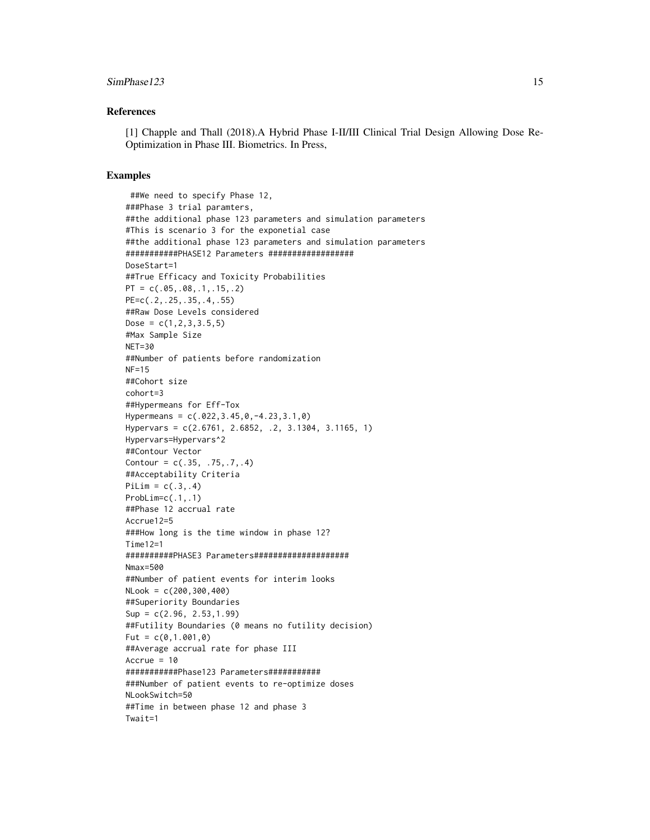#### $SimPhase 123$  15

#### References

[1] Chapple and Thall (2018).A Hybrid Phase I-II/III Clinical Trial Design Allowing Dose Re-Optimization in Phase III. Biometrics. In Press,

```
##We need to specify Phase 12,
###Phase 3 trial paramters,
##the additional phase 123 parameters and simulation parameters
#This is scenario 3 for the exponetial case
##the additional phase 123 parameters and simulation parameters
###########PHASE12 Parameters ##################
DoseStart=1
##True Efficacy and Toxicity Probabilities
PT = c(.05,.08,.1,.15,.2)PE=c(.2,.25,.35,.4,.55)
##Raw Dose Levels considered
Dose = c(1, 2, 3, 3.5, 5)#Max Sample Size
NET=30
##Number of patients before randomization
NF=15
##Cohort size
cohort=3
##Hypermeans for Eff-Tox
Hypermeans = c(.022,3.45,0,-4.23,3.1,0)
Hypervars = c(2.6761, 2.6852, .2, 3.1304, 3.1165, 1)
Hypervars=Hypervars^2
##Contour Vector
Contour = c(.35, .75, .7, .4)##Acceptability Criteria
PilLim = c(.3,.4)ProbLim=c(.1,.1)
##Phase 12 accrual rate
Accrue12=5
###How long is the time window in phase 12?
Time12=1
##########PHASE3 Parameters####################
Nmax=500
##Number of patient events for interim looks
NLook = c(200,300,400)
##Superiority Boundaries
Sup = c(2.96, 2.53,1.99)
##Futility Boundaries (0 means no futility decision)
Fut = c(0, 1.001, 0)##Average accrual rate for phase III
Accrue = 10###########Phase123 Parameters###########
###Number of patient events to re-optimize doses
NLookSwitch=50
##Time in between phase 12 and phase 3
Twait=1
```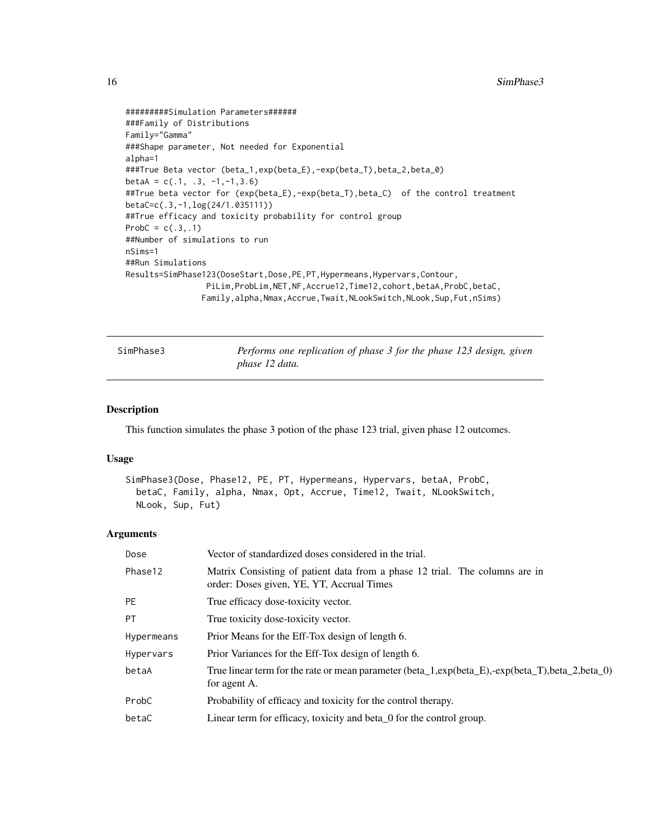```
#########Simulation Parameters######
###Family of Distributions
Family="Gamma"
###Shape parameter, Not needed for Exponential
alpha=1
###True Beta vector (beta_1,exp(beta_E),-exp(beta_T),beta_2,beta_0)
beta = c(.1, .3, -1, -1, 3.6)##True beta vector for (exp(beta_E),-exp(beta_T),beta_C) of the control treatment
betaC=c(.3,-1,log(24/1.035111))
##True efficacy and toxicity probability for control group
ProbC = c(.3,.1)##Number of simulations to run
nSims=1
##Run Simulations
Results=SimPhase123(DoseStart,Dose,PE,PT,Hypermeans,Hypervars,Contour,
                 PiLim,ProbLim,NET,NF,Accrue12,Time12,cohort,betaA,ProbC,betaC,
                Family,alpha,Nmax,Accrue,Twait,NLookSwitch,NLook,Sup,Fut,nSims)
```
SimPhase3 *Performs one replication of phase 3 for the phase 123 design, given phase 12 data.*

#### Description

This function simulates the phase 3 potion of the phase 123 trial, given phase 12 outcomes.

#### Usage

```
SimPhase3(Dose, Phase12, PE, PT, Hypermeans, Hypervars, betaA, ProbC,
 betaC, Family, alpha, Nmax, Opt, Accrue, Time12, Twait, NLookSwitch,
 NLook, Sup, Fut)
```

| Dose       | Vector of standardized doses considered in the trial.                                                                    |
|------------|--------------------------------------------------------------------------------------------------------------------------|
| Phase12    | Matrix Consisting of patient data from a phase 12 trial. The columns are in<br>order: Doses given, YE, YT, Accrual Times |
| <b>PE</b>  | True efficacy dose-toxicity vector.                                                                                      |
| <b>PT</b>  | True toxicity dose-toxicity vector.                                                                                      |
| Hypermeans | Prior Means for the Eff-Tox design of length 6.                                                                          |
| Hypervars  | Prior Variances for the Eff-Tox design of length 6.                                                                      |
| betaA      | True linear term for the rate or mean parameter (beta_1,exp(beta_E),-exp(beta_T),beta_2,beta_0)<br>for agent A.          |
| ProbC      | Probability of efficacy and toxicity for the control therapy.                                                            |
| betaC      | Linear term for efficacy, toxicity and beta 0 for the control group.                                                     |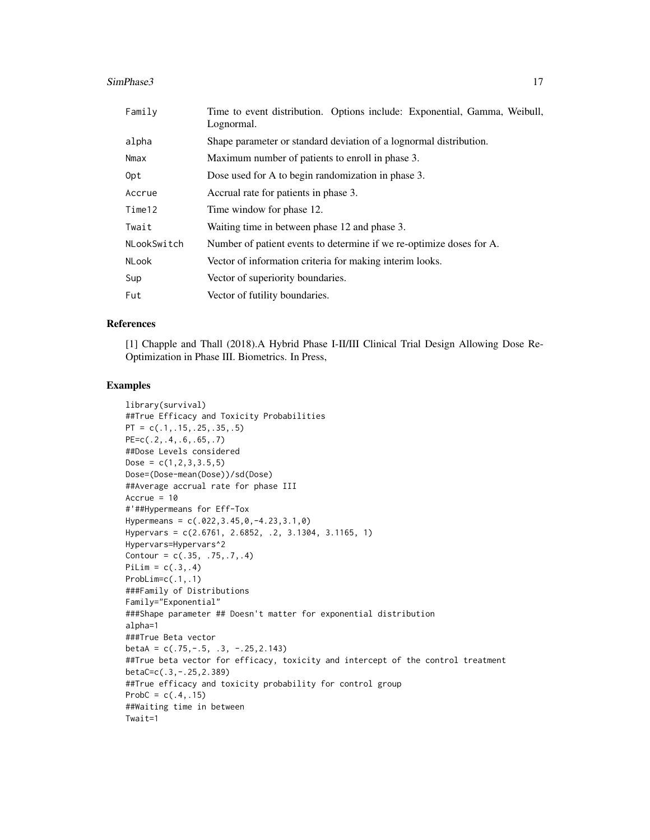#### SimPhase3 17

| Family       | Time to event distribution. Options include: Exponential, Gamma, Weibull,<br>Lognormal. |
|--------------|-----------------------------------------------------------------------------------------|
| alpha        | Shape parameter or standard deviation of a lognormal distribution.                      |
| Nmax         | Maximum number of patients to enroll in phase 3.                                        |
| Opt          | Dose used for A to begin randomization in phase 3.                                      |
| Accrue       | Accrual rate for patients in phase 3.                                                   |
| Time12       | Time window for phase 12.                                                               |
| Twait        | Waiting time in between phase 12 and phase 3.                                           |
| NLookSwitch  | Number of patient events to determine if we re-optimize doses for A.                    |
| <b>NLook</b> | Vector of information criteria for making interim looks.                                |
| Sup          | Vector of superiority boundaries.                                                       |
| Fut          | Vector of futility boundaries.                                                          |

#### References

[1] Chapple and Thall (2018).A Hybrid Phase I-II/III Clinical Trial Design Allowing Dose Re-Optimization in Phase III. Biometrics. In Press,

```
library(survival)
##True Efficacy and Toxicity Probabilities
PT = c(.1, .15, .25, .35, .5)PE=c(.2,.4,.6,.65,.7)
##Dose Levels considered
Dose = c(1, 2, 3, 3.5, 5)Dose=(Dose-mean(Dose))/sd(Dose)
##Average accrual rate for phase III
Accrue = 10#'##Hypermeans for Eff-Tox
Hypermeans = c(.022,3.45,0,-4.23,3.1,0)
Hypervars = c(2.6761, 2.6852, .2, 3.1304, 3.1165, 1)
Hypervars=Hypervars^2
Contour = c(.35, .75, .7, .4)PiLim = c(.3,.4)ProbLim=c(.1,.1)
###Family of Distributions
Family="Exponential"
###Shape parameter ## Doesn't matter for exponential distribution
alpha=1
###True Beta vector
betaA = c(.75,-.5,.3,-.25,2.143)##True beta vector for efficacy, toxicity and intercept of the control treatment
betaC=c(.3,-.25,2.389)
##True efficacy and toxicity probability for control group
ProbC = c(.4,.15)##Waiting time in between
Twait=1
```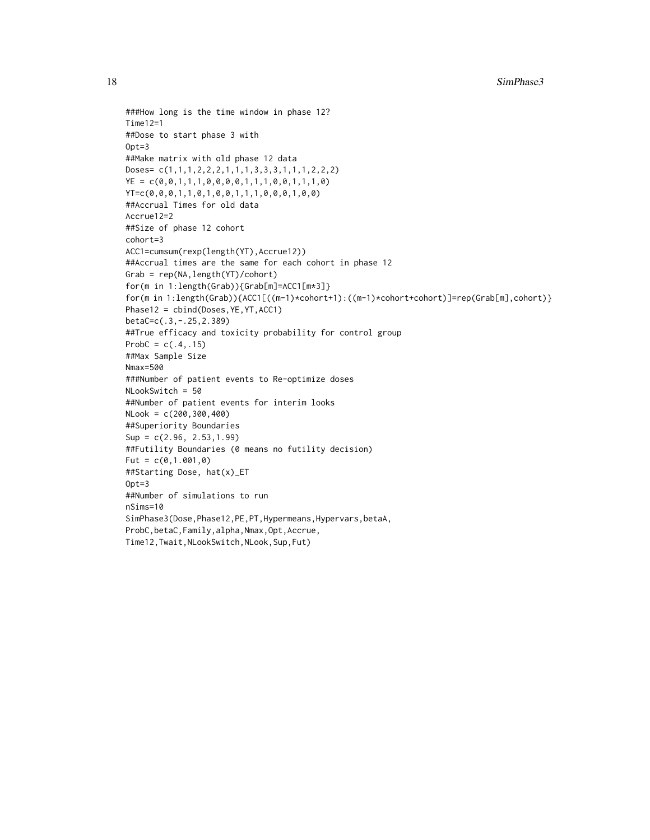```
###How long is the time window in phase 12?
Time12=1
##Dose to start phase 3 with
Opt=3##Make matrix with old phase 12 data
Doses= c(1,1,1,2,2,2,1,1,1,3,3,3,1,1,1,2,2,2)
YE = c(0, 0, 1, 1, 1, 0, 0, 0, 0, 1, 1, 1, 0, 0, 1, 1, 1, 0)YT=c(0,0,0,1,1,0,1,0,0,1,1,1,0,0,0,1,0,0)
##Accrual Times for old data
Accrue12=2
##Size of phase 12 cohort
cohort=3
ACC1=cumsum(rexp(length(YT),Accrue12))
##Accrual times are the same for each cohort in phase 12
Grab = rep(NA,length(YT)/cohort)
for(m in 1:length(Grab)){Grab[m]=ACC1[m*3]}
for(m in 1:length(Grab)){ACC1[((m-1)*cohort+1):((m-1)*cohort+cohort)]=rep(Grab[m],cohort)}
Phase12 = cbind(Doses,YE,YT,ACC1)
betaC=c(.3,-.25,2.389)
##True efficacy and toxicity probability for control group
ProbC = c(.4,.15)##Max Sample Size
Nmax=500
###Number of patient events to Re-optimize doses
NLookSwitch = 50
##Number of patient events for interim looks
NLook = c(200,300,400)
##Superiority Boundaries
Sup = c(2.96, 2.53,1.99)
##Futility Boundaries (0 means no futility decision)
Fut = c(0, 1.001, 0)##Starting Dose, hat(x)_ET
Opt=3
##Number of simulations to run
nSims=10
SimPhase3(Dose,Phase12,PE,PT,Hypermeans,Hypervars,betaA,
ProbC,betaC,Family,alpha,Nmax,Opt,Accrue,
Time12,Twait,NLookSwitch,NLook,Sup,Fut)
```